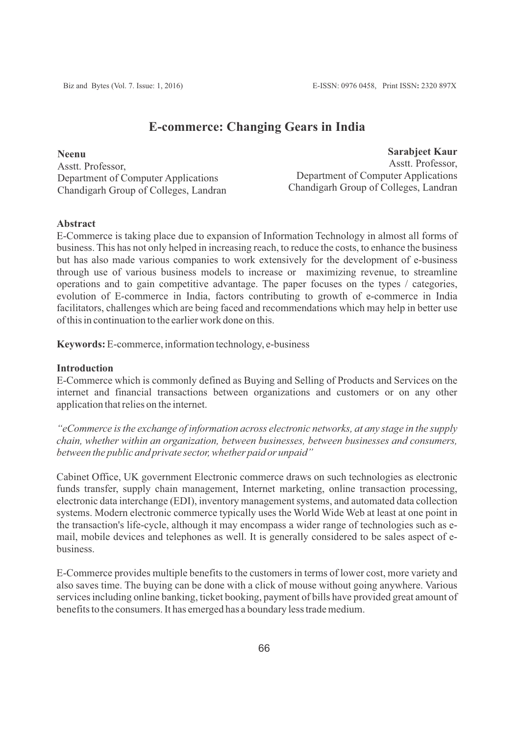# **E-commerce: Changing Gears in India**

**Neenu** Asstt. Professor, Department of Computer Applications Chandigarh Group of Colleges, Landran

**Sarabjeet Kaur** Asstt. Professor, Department of Computer Applications Chandigarh Group of Colleges, Landran

### **Abstract**

E-Commerce is taking place due to expansion of Information Technology in almost all forms of business. This has not only helped in increasing reach, to reduce the costs, to enhance the business but has also made various companies to work extensively for the development of e-business through use of various business models to increase or maximizing revenue, to streamline operations and to gain competitive advantage. The paper focuses on the types / categories, evolution of E-commerce in India, factors contributing to growth of e-commerce in India facilitators, challenges which are being faced and recommendations which may help in better use of this in continuation to the earlier work done on this.

**Keywords:** E-commerce, information technology, e-business

#### **Introduction**

E-Commerce which is commonly defined as Buying and Selling of Products and Services on the internet and financial transactions between organizations and customers or on any other application that relies on the internet.

*"eCommerce is the exchange of information across electronic networks, at any stage in the supply chain, whether within an organization, between businesses, between businesses and consumers, between the public and private sector, whether paid or unpaid"*

Cabinet Office, UK government Electronic commerce draws on such technologies as electronic funds transfer, supply chain management, Internet marketing, online transaction processing, electronic data interchange (EDI), inventory management systems, and automated data collection systems. Modern electronic commerce typically uses the World Wide Web at least at one point in the transaction's life-cycle, although it may encompass a wider range of technologies such as email, mobile devices and telephones as well. It is generally considered to be sales aspect of ebusiness.

E-Commerce provides multiple benefits to the customers in terms of lower cost, more variety and also saves time. The buying can be done with a click of mouse without going anywhere. Various services including online banking, ticket booking, payment of bills have provided great amount of benefits to the consumers. It has emerged has a boundary less trade medium.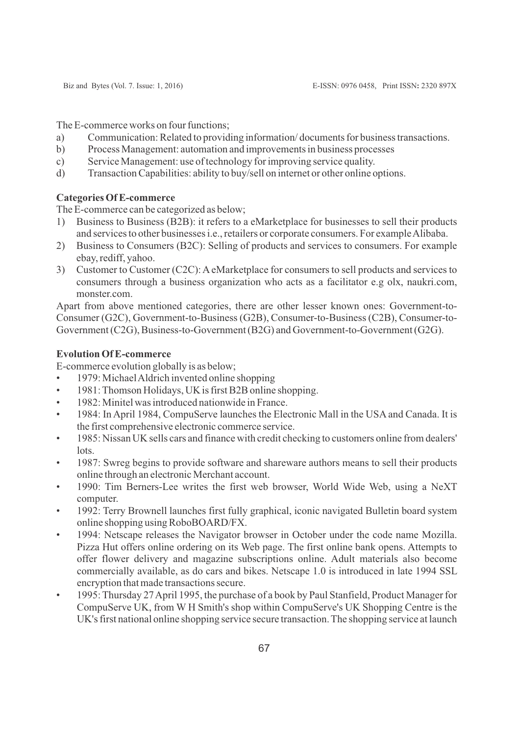The E-commerce works on four functions;

- a) Communication: Related to providing information/ documents for business transactions.
- b) Process Management: automation and improvements in business processes
- c) Service Management: use of technology for improving service quality.
- d) Transaction Capabilities: ability to buy/sell on internet or other online options.

## **Categories Of E-commerce**

The E-commerce can be categorized as below;

- 1) Business to Business (B2B): it refers to a eMarketplace for businesses to sell their products and services to other businesses i.e., retailers or corporate consumers. For example Alibaba.
- 2) Business to Consumers (B2C): Selling of products and services to consumers. For example ebay, rediff, yahoo.
- 3) Customer to Customer (C2C): AeMarketplace for consumers to sell products and services to consumers through a business organization who acts as a facilitator e.g olx, naukri.com, monster.com

Apart from above mentioned categories, there are other lesser known ones: Government-to-Consumer (G2C), Government-to-Business (G2B), Consumer-to-Business (C2B), Consumer-to-Government (C2G), Business-to-Government (B2G) and Government-to-Government (G2G).

## **Evolution Of E-commerce**

E-commerce evolution globally is as below;

- 1979: Michael Aldrich invented online shopping
- 1981: Thomson Holidays, UK is first B2B online shopping.
- 1982: Minitel was introduced nationwide in France.
- 1984: In April 1984, CompuServe launches the Electronic Mall in the USA and Canada. It is the first comprehensive electronic commerce service.
- 1985: Nissan UK sells cars and finance with credit checking to customers online from dealers' lots.
- 1987: Swreg begins to provide software and shareware authors means to sell their products online through an electronic Merchant account.
- 1990: Tim Berners-Lee writes the first web browser, World Wide Web, using a NeXT computer.
- 1992: Terry Brownell launches first fully graphical, iconic navigated Bulletin board syste[m](http://en.wikipedia.org/wiki/Bulletin_board_system) online shopping using RoboBOARD/FX.
- 1994: Netscape releases the Navigator browser in October under the code name Mozilla. Pizza Hut offers online ordering on its Web page. The first online bank opens. Attempts to offer flower delivery and magazine subscriptions online. Adult materials also become commercially available, as do cars and bikes. Netscape 1.0 is introduced in late 1994 SSL encryption that made transactions secure.
- 1995: Thursday 27 April 1995, the purchase of a book by Paul Stanfield, Product Manager for CompuServe UK, from W H Smith's shop within CompuServe's UK Shopping Centre is the UK's first national online shopping service secure transaction. The shopping service at launch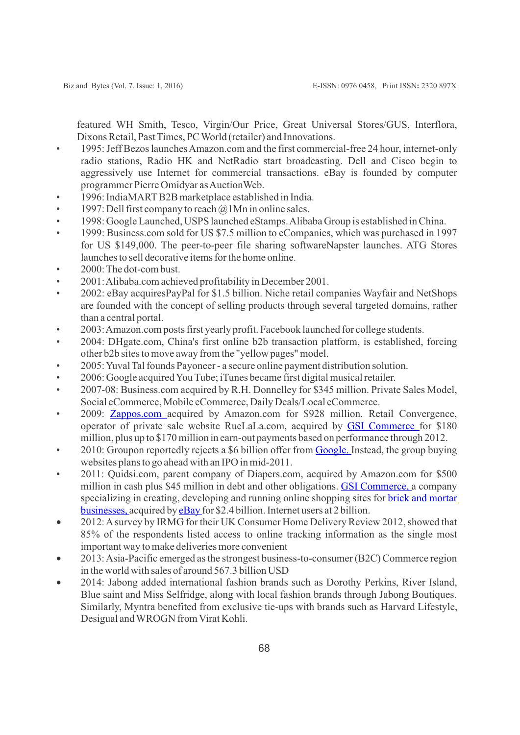featured WH Smith, Tesco, Virgin/Our Price, Great Universal Stores/GUS, Interflora[,](http://en.wikipedia.org/wiki/Interflora) Dixons Retail, Past Times, PC World (retailer) and Innovations.

- 1995: Jeff Bezos launches Amazon.com and the first commercial-free 24 hour, internet-only radio stations, Radio HK and NetRadio start broadcasting. Dell and Cisco begin to aggressively use Internet for commercial transactions. eBay is founded by computer programmer Pierre Omidyar as AuctionWeb.
- 1996: IndiaMARTB2B marketplace established in India.
- 1997: Dell first company to reach  $\omega$  1Mn in online sales.
- 1998: Google Launched, USPS launched eStamps. Alibaba Group is established in China.
- 1999: Business.com sold for US \$7.5 million to eCompanies, which was purchased in 1997 for US \$149,000. The peer-to-peer file sharing softwareNapster launches. ATG Store[s](http://en.wikipedia.org/wiki/ATG_Stores) launches to sell decorative items for the home online.
- 2000: The dot-com bust.
- 2001: Alibaba.com achieved profitability in December 2001.
- 2002: eBay acquiresPayPal for \$1.5 billion. Niche retail companies Wayfair and NetShops are founded with the concept of selling products through several targeted domains, rather than a central portal.
- 2003: Amazon.com posts first yearly profit. Facebook launched for college students.
- 2004: DHgate.com, China's first online b2b transaction platform, is established, forcing other b2b sites to move away from the "yellow pages" model.
- 2005: Yuval Tal founds Payoneer a secure online payment distribution solution.
- 2006: Google acquired You Tube; iTunes became first digital musical retailer.
- 2007-08: Business.com acquired by R.H. Donnelley for \$345 million. Private Sales Model, Social eCommerce, Mobile eCommerce, Daily Deals/Local eCommerce.
- 2009: [Zappos.com](http://en.wikipedia.org/wiki/Zappos.com) acquired by Amazon.com for \$928 million. Retail Convergence, operator of private sale website RueLaLa.com, acquired by [GSI Commerce](http://en.wikipedia.org/wiki/GSI_Commerce) for \$180 million, plus up to \$170 million in earn-out payments based on performance through 2012.
- 2010: Groupon reportedly rejects a \$6 billion offer from [Google.](http://en.wikipedia.org/wiki/Google) Instead, the group buying websites plans to go ahead with an IPO in mid-2011.
- 2011: Quidsi.com, parent company of Diapers.com, acquired by Amazon.com for \$500 million in cash plus \$45 million in debt and other obligations. [GSI Commerce,](http://en.wikipedia.org/wiki/GSI_Commerce) a company specializing in creating, developing and running online shopping sites for [brick and mortar](http://en.wikipedia.org/wiki/Brick_and_mortar_business)  [businesses, a](http://en.wikipedia.org/wiki/Brick_and_mortar_business)cquired by [eBay f](http://en.wikipedia.org/wiki/EBay)or \$2.4 billion. Internet users at 2 billion.
- · 2012: Asurvey by IRMG for their UK Consumer Home Delivery Review 2012, showed that 85% of the respondents listed access to online tracking information as the single most important way to make deliveries more convenient
- · 2013: Asia-Pacific emerged as the strongest business-to-consumer (B2C) Commerce region in the world with sales of around 567.3 billion USD
- · 2014: Jabong added international fashion brands such as Dorothy Perkins, River Island, Blue saint and Miss Selfridge, along with local fashion brands through Jabong Boutiques. Similarly, Myntra benefited from exclusive tie-ups with brands such as Harvard Lifestyle, Desigual and WROGN from Virat Kohli.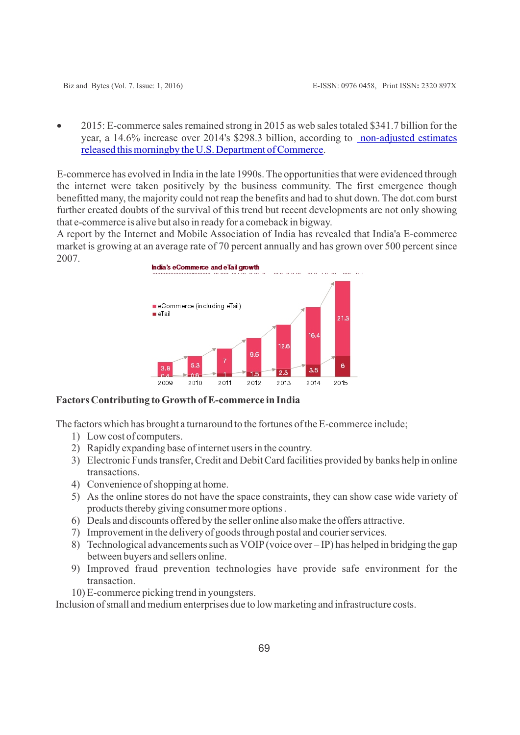• 2015: E-commerce sales remained strong in 2015 as web sales totaled \$341.7 billion for the year, a 14.6% increase over 2014's \$298.3 billion, according to non-adjusted estimates [released this morningby the U.S. Department of Commerce](http://www.census.gov/retail/index.html).

E-commerce has evolved in India in the late 1990s. The opportunities that were evidenced through the internet were taken positively by the business community. The first emergence though benefitted many, the majority could not reap the benefits and had to shut down. The dot.com burst further created doubts of the survival of this trend but recent developments are not only showing that e-commerce is alive but also in ready for a comeback in bigway.

A report by the Internet and Mobile Association of India has revealed that India'a E-commerce market is growing at an average rate of 70 percent annually and has grown over 500 percent since 2007.



## **Factors Contributing to Growth of E-commerce in India**

The factors which has brought a turnaround to the fortunes of the E-commerce include;

- 1) Low cost of computers.
- 2) Rapidly expanding base of internet users in the country.
- 3) Electronic Funds transfer, Credit and Debit Card facilities provided by banks help in online transactions.
- 4) Convenience of shopping at home.
- 5) As the online stores do not have the space constraints, they can show case wide variety of products thereby giving consumer more options .
- 6) Deals and discounts offered by the seller online also make the offers attractive.
- 7) Improvement in the delivery of goods through postal and courier services.
- 8) Technological advancements such as VOIP(voice over IP) has helped in bridging the gap between buyers and sellers online.
- 9) Improved fraud prevention technologies have provide safe environment for the transaction.
- 10) E-commerce picking trend in youngsters.

Inclusion of small and medium enterprises due to low marketing and infrastructure costs.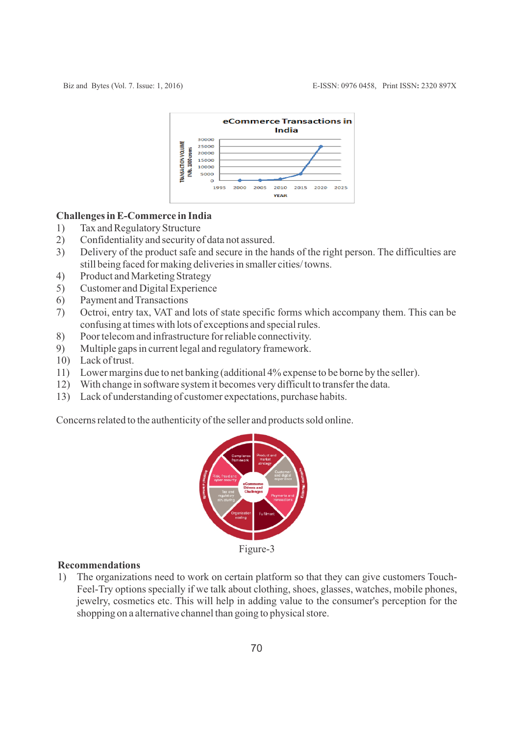

#### **Challenges in E-Commerce in India**

- 1) Tax and Regulatory Structure
- 2) Confidentiality and security of data not assured.
- 3) Delivery of the product safe and secure in the hands of the right person. The difficulties are still being faced for making deliveries in smaller cities/ towns.
- 4) Product and Marketing Strategy
- 5) Customer and Digital Experience
- 6) Payment and Transactions
- 7) Octroi, entry tax, VAT and lots of state specific forms which accompany them. This can be confusing at times with lots of exceptions and special rules.
- 8) Poor telecom and infrastructure for reliable connectivity.
- 9) Multiple gaps in current legal and regulatory framework.
- 10) Lack of trust.
- 11) Lower margins due to net banking (additional 4% expense to be borne by the seller).
- 12) With change in software system it becomes very difficult to transfer the data.
- 13) Lack of understanding of customer expectations, purchase habits.

Concerns related to the authenticity of the seller and products sold online.



Figure-3

#### **Recommendations**

1) The organizations need to work on certain platform so that they can give customers Touch-Feel-Try options specially if we talk about clothing, shoes, glasses, watches, mobile phones, jewelry, cosmetics etc. This will help in adding value to the consumer's perception for the shopping on a alternative channel than going to physical store.